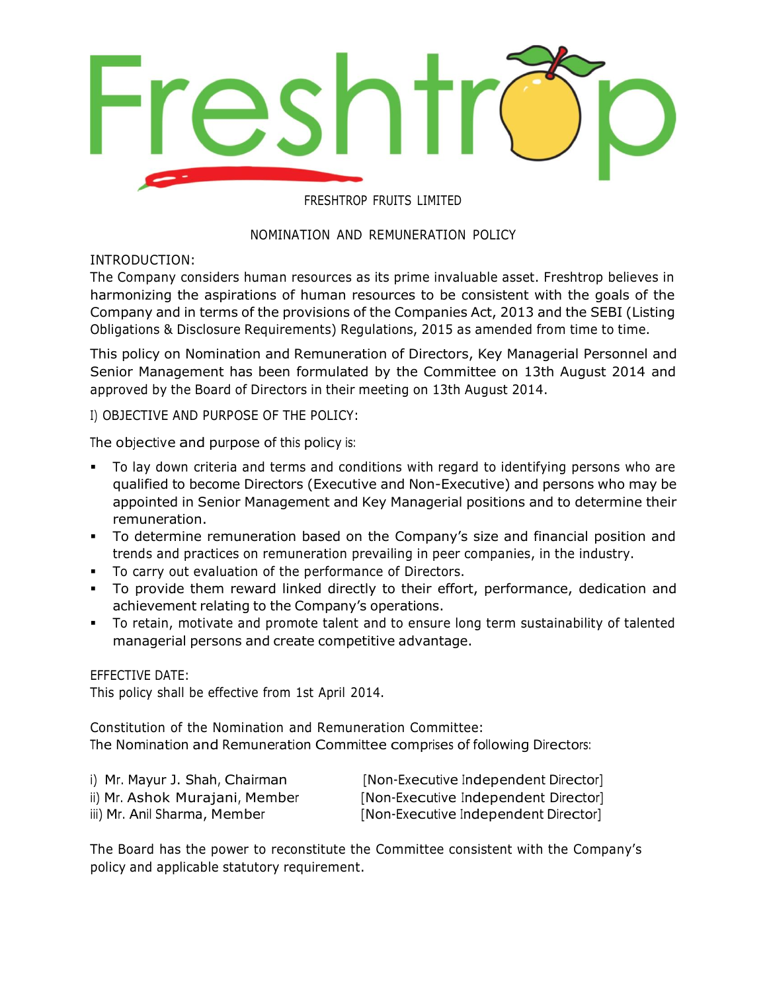

# FRESHTROP FRUITS LIMITED

# NOMINATION AND REMUNERATION POLICY

INTRODUCTION:

The Company considers human resources as its prime invaluable asset. Freshtrop believes in harmonizing the aspirations of human resources to be consistent with the goals of the Company and in terms of the provisions of the Companies Act, 2013 and the SEBI (Listing Obligations & Disclosure Requirements) Regulations, 2015 as amended from time to time.

This policy on Nomination and Remuneration of Directors, Key Managerial Personnel and Senior Management has been formulated by the Committee on 13th August 2014 and approved by the Board of Directors in their meeting on 13th August 2014.

I) OBJECTIVE AND PURPOSE OF THE POLICY:

The objective and purpose of this policy is:

- To lay down criteria and terms and conditions with regard to identifying persons who are qualified to become Directors (Executive and Non-Executive) and persons who may be appointed in Senior Management and Key Managerial positions and to determine their remuneration.
- To determine remuneration based on the Company's size and financial position and trends and practices on remuneration prevailing in peer companies, in the industry.
- To carry out evaluation of the performance of Directors.
- To provide them reward linked directly to their effort, performance, dedication and achievement relating to the Company's operations.
- To retain, motivate and promote talent and to ensure long term sustainability of talented managerial persons and create competitive advantage.

EFFECTIVE DATE:

This policy shall be effective from 1st April 2014.

Constitution of the Nomination and Remuneration Committee: The Nomination and Remuneration Committee comprises of following Directors:

| i) Mr. Mayur J. Shah, Chairman | [Non-Executive Independent Director] |
|--------------------------------|--------------------------------------|
| ii) Mr. Ashok Murajani, Member | [Non-Executive Independent Director] |
| iii) Mr. Anil Sharma, Member   | [Non-Executive Independent Director] |

The Board has the power to reconstitute the Committee consistent with the Company's policy and applicable statutory requirement.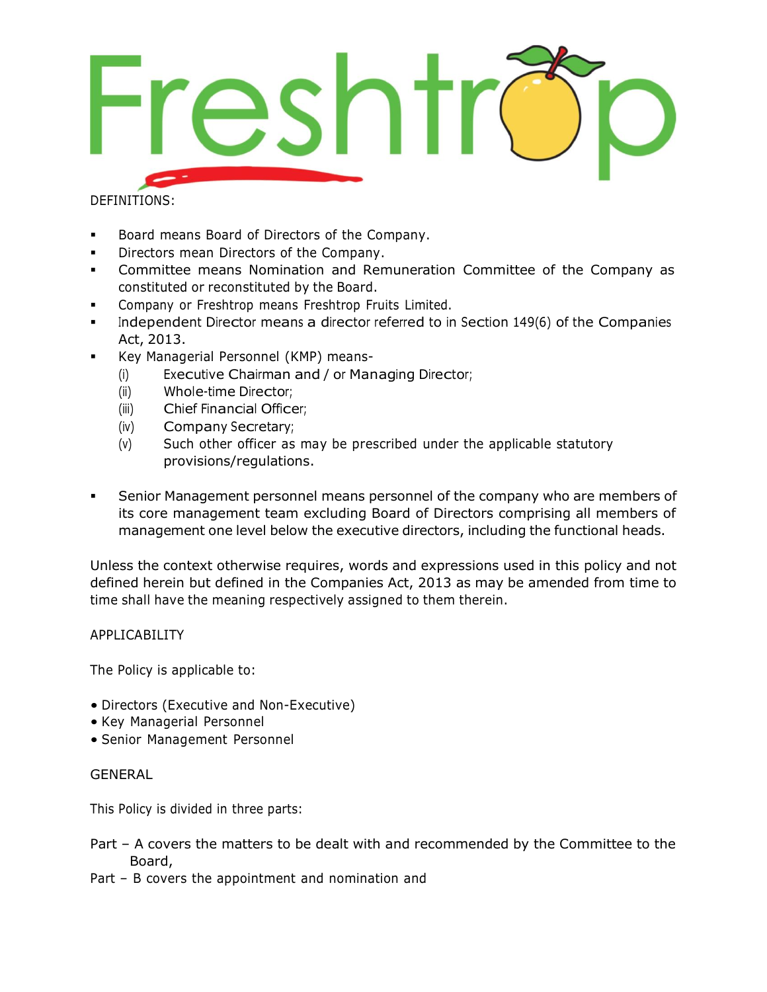

DEFINITIONS:

- Board means Board of Directors of the Company.
- Directors mean Directors of the Company.
- Committee means Nomination and Remuneration Committee of the Company as constituted or reconstituted by the Board.
- Company or Freshtrop means Freshtrop Fruits Limited.
- Independent Director means a director referred to in Section 149(6) of the Companies Act, 2013.
- Key Managerial Personnel (KMP) means-
	- (i) Executive Chairman and / or Managing Director;
	- (ii) Whole-time Director;
	- (iii) Chief Financial Officer;
	- (iv) Company Secretary;
	- (v) Such other officer as may be prescribed under the applicable statutory provisions/regulations.
- Senior Management personnel means personnel of the company who are members of its core management team excluding Board of Directors comprising all members of management one level below the executive directors, including the functional heads.

Unless the context otherwise requires, words and expressions used in this policy and not defined herein but defined in the Companies Act, 2013 as may be amended from time to time shall have the meaning respectively assigned to them therein.

## APPLICABILITY

The Policy is applicable to:

- Directors (Executive and Non-Executive)
- Key Managerial Personnel
- Senior Management Personnel

## **GENERAL**

This Policy is divided in three parts:

- Part A covers the matters to be dealt with and recommended by the Committee to the Board,
- Part B covers the appointment and nomination and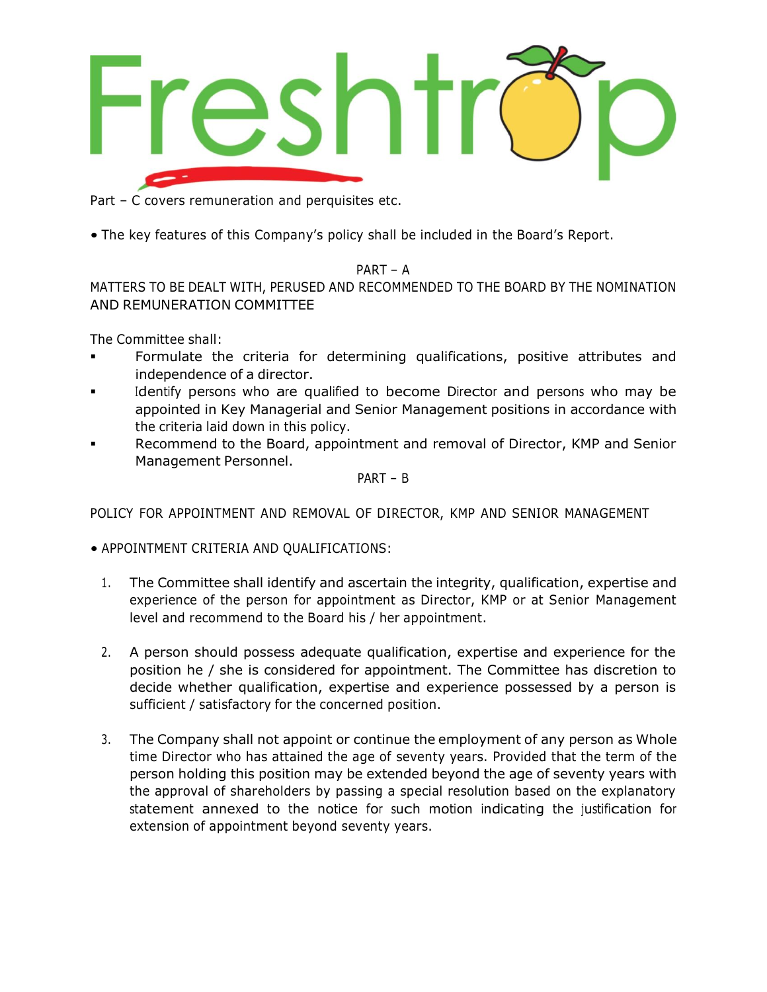

Part – C covers remuneration and perquisites etc.

• The key features of this Company's policy shall be included in the Board's Report.

# PART – A

MATTERS TO BE DEALT WITH, PERUSED AND RECOMMENDED TO THE BOARD BY THE NOMINATION AND REMUNERATION COMMITTEE

The Committee shall:

- Formulate the criteria for determining qualifications, positive attributes and independence of a director.
- Identify persons who are qualified to become Director and persons who may be appointed in Key Managerial and Senior Management positions in accordance with the criteria laid down in this policy.
- Recommend to the Board, appointment and removal of Director, KMP and Senior Management Personnel.

PART – B

POLICY FOR APPOINTMENT AND REMOVAL OF DIRECTOR, KMP AND SENIOR MANAGEMENT

• APPOINTMENT CRITERIA AND QUALIFICATIONS:

- 1. The Committee shall identify and ascertain the integrity, qualification, expertise and experience of the person for appointment as Director, KMP or at Senior Management level and recommend to the Board his / her appointment.
- 2. A person should possess adequate qualification, expertise and experience for the position he / she is considered for appointment. The Committee has discretion to decide whether qualification, expertise and experience possessed by a person is sufficient / satisfactory for the concerned position.
- 3. The Company shall not appoint or continue the employment of any person as Whole time Director who has attained the age of seventy years. Provided that the term of the person holding this position may be extended beyond the age of seventy years with the approval of shareholders by passing a special resolution based on the explanatory statement annexed to the notice for such motion indicating the justification for extension of appointment beyond seventy years.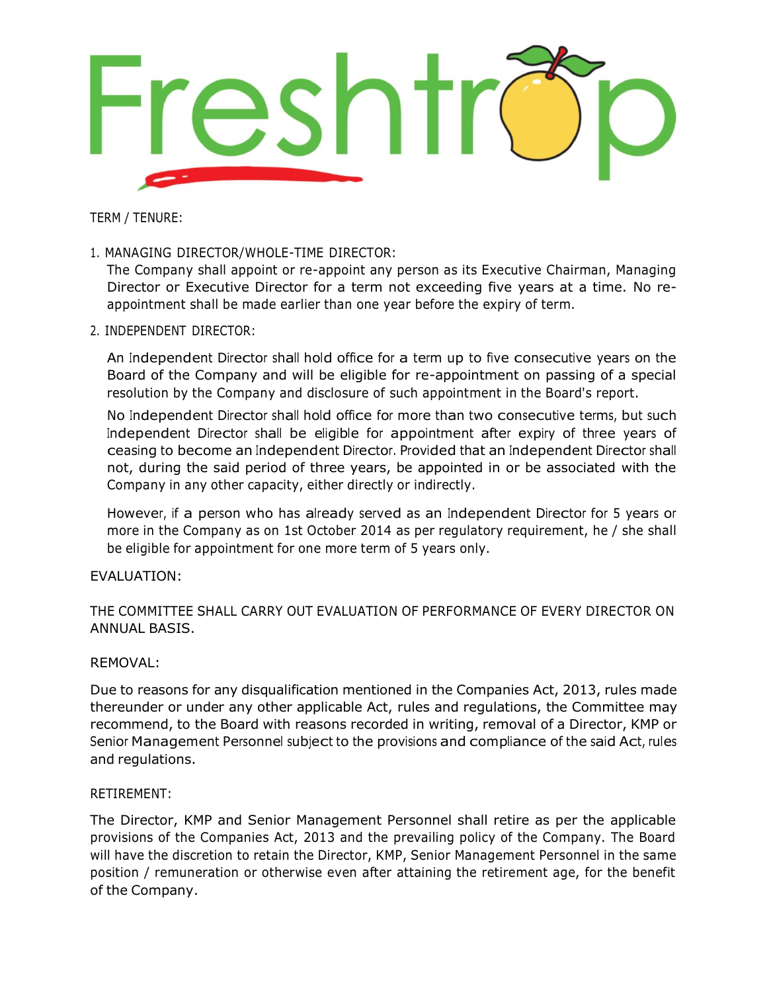

TERM / TENURE:

1. MANAGING DIRECTOR/WHOLE-TIME DIRECTOR:

The Company shall appoint or re-appoint any person as its Executive Chairman, Managing Director or Executive Director for a term not exceeding five years at a time. No reappointment shall be made earlier than one year before the expiry of term.

2. INDEPENDENT DIRECTOR:

An Independent Director shall hold office for a term up to five consecutive years on the Board of the Company and will be eligible for re-appointment on passing of a special resolution by the Company and disclosure of such appointment in the Board's report.

No Independent Director shall hold office for more than two consecutive terms, but such Independent Director shall be eligible for appointment after expiry of three years of ceasing to become an Independent Director. Provided that an Independent Director shall not, during the said period of three years, be appointed in or be associated with the Company in any other capacity, either directly or indirectly.

However, if a person who has already served as an Independent Director for 5 years or more in the Company as on 1st October 2014 as per regulatory requirement, he / she shall be eligible for appointment for one more term of 5 years only.

## EVALUATION:

# THE COMMITTEE SHALL CARRY OUT EVALUATION OF PERFORMANCE OF EVERY DIRECTOR ON ANNUAL BASIS.

#### REMOVAL:

Due to reasons for any disqualification mentioned in the Companies Act, 2013, rules made thereunder or under any other applicable Act, rules and regulations, the Committee may recommend, to the Board with reasons recorded in writing, removal of a Director, KMP or Senior Management Personnel subject to the provisions and compliance of the said Act, rules and regulations.

#### RETIREMENT:

The Director, KMP and Senior Management Personnel shall retire as per the applicable provisions of the Companies Act, 2013 and the prevailing policy of the Company. The Board will have the discretion to retain the Director, KMP, Senior Management Personnel in the same position / remuneration or otherwise even after attaining the retirement age, for the benefit of the Company.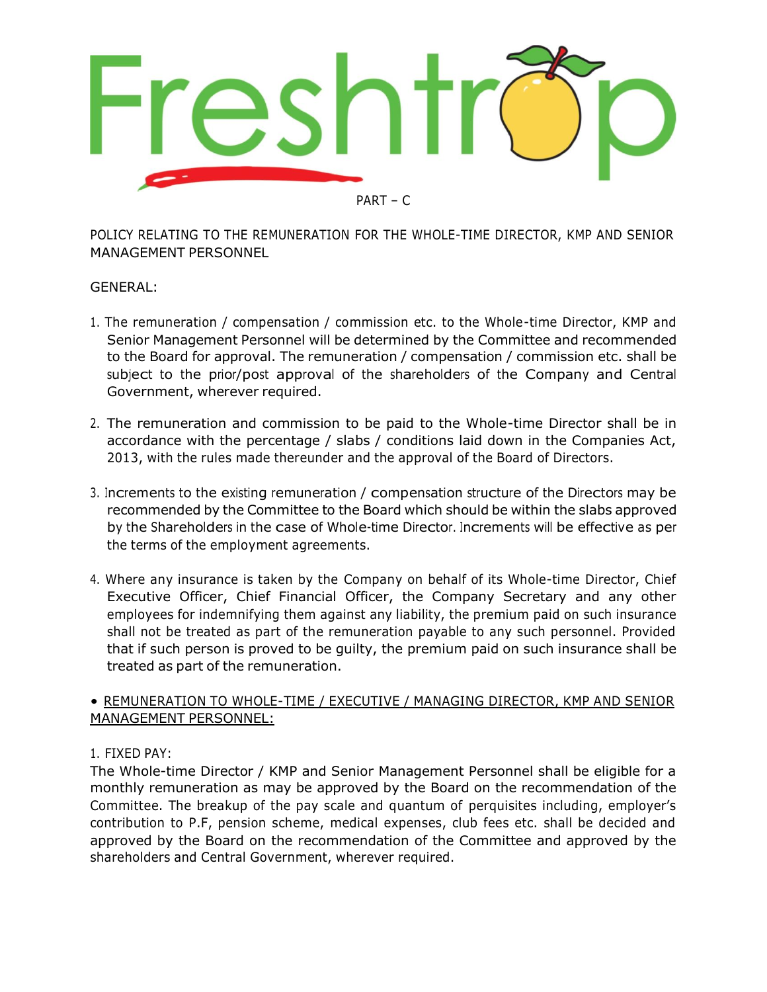

POLICY RELATING TO THE REMUNERATION FOR THE WHOLE-TIME DIRECTOR, KMP AND SENIOR MANAGEMENT PERSONNEL

# GENERAL:

- 1. The remuneration / compensation / commission etc. to the Whole-time Director, KMP and Senior Management Personnel will be determined by the Committee and recommended to the Board for approval. The remuneration / compensation / commission etc. shall be subject to the prior/post approval of the shareholders of the Company and Central Government, wherever required.
- 2. The remuneration and commission to be paid to the Whole-time Director shall be in accordance with the percentage / slabs / conditions laid down in the Companies Act, 2013, with the rules made thereunder and the approval of the Board of Directors.
- 3. Increments to the existing remuneration / compensation structure of the Directors may be recommended by the Committee to the Board which should be within the slabs approved by the Shareholders in the case of Whole-time Director. Increments will be effective as per the terms of the employment agreements.
- 4. Where any insurance is taken by the Company on behalf of its Whole-time Director, Chief Executive Officer, Chief Financial Officer, the Company Secretary and any other employees for indemnifying them against any liability, the premium paid on such insurance shall not be treated as part of the remuneration payable to any such personnel. Provided that if such person is proved to be guilty, the premium paid on such insurance shall be treated as part of the remuneration.

# • REMUNERATION TO WHOLE-TIME / EXECUTIVE / MANAGING DIRECTOR, KMP AND SENIOR MANAGEMENT PERSONNEL:

# 1. FIXED PAY:

The Whole-time Director / KMP and Senior Management Personnel shall be eligible for a monthly remuneration as may be approved by the Board on the recommendation of the Committee. The breakup of the pay scale and quantum of perquisites including, employer's contribution to P.F, pension scheme, medical expenses, club fees etc. shall be decided and approved by the Board on the recommendation of the Committee and approved by the shareholders and Central Government, wherever required.